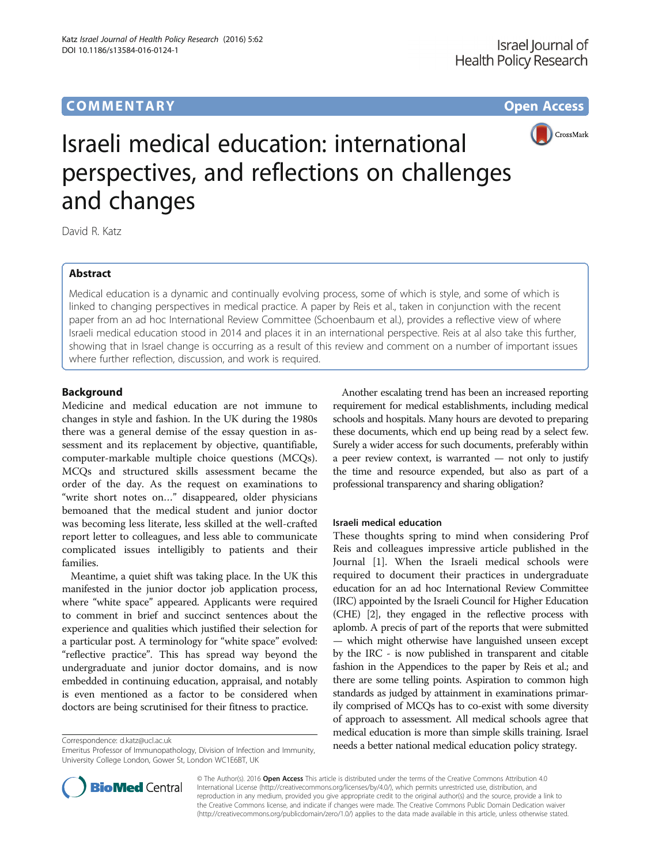# **COMMENTARY COMMENTARY Open Access**



# Israeli medical education: international perspectives, and reflections on challenges and changes

David R. Katz

## Abstract

Medical education is a dynamic and continually evolving process, some of which is style, and some of which is linked to changing perspectives in medical practice. A paper by Reis et al., taken in conjunction with the recent paper from an ad hoc International Review Committee (Schoenbaum et al.), provides a reflective view of where Israeli medical education stood in 2014 and places it in an international perspective. Reis at al also take this further, showing that in Israel change is occurring as a result of this review and comment on a number of important issues where further reflection, discussion, and work is required.

## Background

Medicine and medical education are not immune to changes in style and fashion. In the UK during the 1980s there was a general demise of the essay question in assessment and its replacement by objective, quantifiable, computer-markable multiple choice questions (MCQs). MCQs and structured skills assessment became the order of the day. As the request on examinations to "write short notes on…" disappeared, older physicians bemoaned that the medical student and junior doctor was becoming less literate, less skilled at the well-crafted report letter to colleagues, and less able to communicate complicated issues intelligibly to patients and their families.

Meantime, a quiet shift was taking place. In the UK this manifested in the junior doctor job application process, where "white space" appeared. Applicants were required to comment in brief and succinct sentences about the experience and qualities which justified their selection for a particular post. A terminology for "white space" evolved: "reflective practice". This has spread way beyond the undergraduate and junior doctor domains, and is now embedded in continuing education, appraisal, and notably is even mentioned as a factor to be considered when doctors are being scrutinised for their fitness to practice.

Another escalating trend has been an increased reporting requirement for medical establishments, including medical schools and hospitals. Many hours are devoted to preparing these documents, which end up being read by a select few. Surely a wider access for such documents, preferably within a peer review context, is warranted — not only to justify the time and resource expended, but also as part of a professional transparency and sharing obligation?

## Israeli medical education

These thoughts spring to mind when considering Prof Reis and colleagues impressive article published in the Journal [\[1](#page-2-0)]. When the Israeli medical schools were required to document their practices in undergraduate education for an ad hoc International Review Committee (IRC) appointed by the Israeli Council for Higher Education (CHE) [[2](#page-2-0)], they engaged in the reflective process with aplomb. A precis of part of the reports that were submitted — which might otherwise have languished unseen except by the IRC - is now published in transparent and citable fashion in the Appendices to the paper by Reis et al.; and there are some telling points. Aspiration to common high standards as judged by attainment in examinations primarily comprised of MCQs has to co-exist with some diversity of approach to assessment. All medical schools agree that medical education is more than simple skills training. Israel Correspondence: [d.katz@ucl.ac.uk](mailto:d.katz@ucl.ac.uk)<br>Emerity: Profecer of Immunopathology. Division of Infection and Immunity **needs a better national medical education policy strategy.** 



© The Author(s). 2016 Open Access This article is distributed under the terms of the Creative Commons Attribution 4.0 International License [\(http://creativecommons.org/licenses/by/4.0/](http://creativecommons.org/licenses/by/4.0/)), which permits unrestricted use, distribution, and reproduction in any medium, provided you give appropriate credit to the original author(s) and the source, provide a link to the Creative Commons license, and indicate if changes were made. The Creative Commons Public Domain Dedication waiver [\(http://creativecommons.org/publicdomain/zero/1.0/](http://creativecommons.org/publicdomain/zero/1.0/)) applies to the data made available in this article, unless otherwise stated.

Emeritus Professor of Immunopathology, Division of Infection and Immunity, University College London, Gower St, London WC1E6BT, UK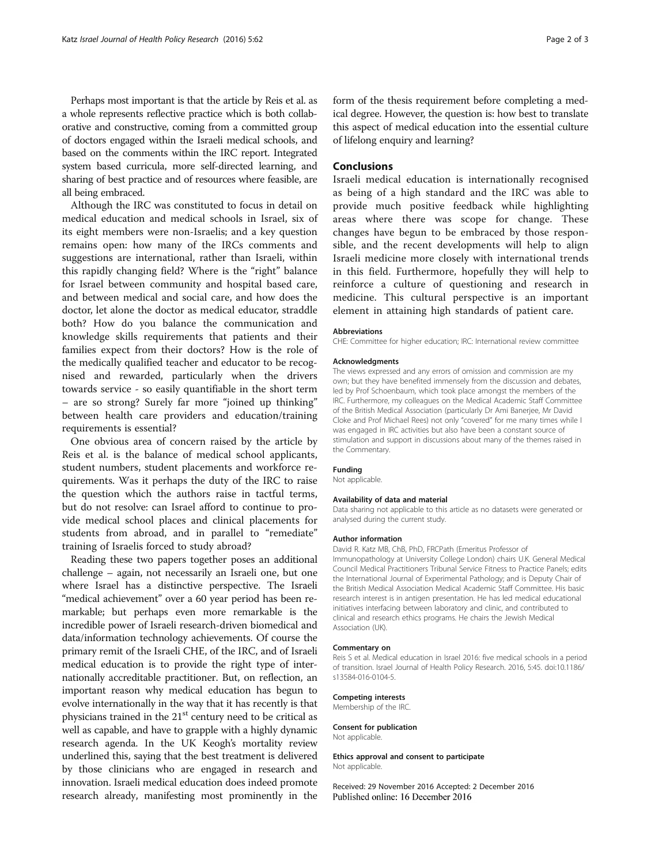Perhaps most important is that the article by Reis et al. as a whole represents reflective practice which is both collaborative and constructive, coming from a committed group of doctors engaged within the Israeli medical schools, and based on the comments within the IRC report. Integrated system based curricula, more self-directed learning, and sharing of best practice and of resources where feasible, are all being embraced.

Although the IRC was constituted to focus in detail on medical education and medical schools in Israel, six of its eight members were non-Israelis; and a key question remains open: how many of the IRCs comments and suggestions are international, rather than Israeli, within this rapidly changing field? Where is the "right" balance for Israel between community and hospital based care, and between medical and social care, and how does the doctor, let alone the doctor as medical educator, straddle both? How do you balance the communication and knowledge skills requirements that patients and their families expect from their doctors? How is the role of the medically qualified teacher and educator to be recognised and rewarded, particularly when the drivers towards service - so easily quantifiable in the short term – are so strong? Surely far more "joined up thinking" between health care providers and education/training requirements is essential?

One obvious area of concern raised by the article by Reis et al. is the balance of medical school applicants, student numbers, student placements and workforce requirements. Was it perhaps the duty of the IRC to raise the question which the authors raise in tactful terms, but do not resolve: can Israel afford to continue to provide medical school places and clinical placements for students from abroad, and in parallel to "remediate" training of Israelis forced to study abroad?

Reading these two papers together poses an additional challenge – again, not necessarily an Israeli one, but one where Israel has a distinctive perspective. The Israeli "medical achievement" over a 60 year period has been remarkable; but perhaps even more remarkable is the incredible power of Israeli research-driven biomedical and data/information technology achievements. Of course the primary remit of the Israeli CHE, of the IRC, and of Israeli medical education is to provide the right type of internationally accreditable practitioner. But, on reflection, an important reason why medical education has begun to evolve internationally in the way that it has recently is that physicians trained in the  $21<sup>st</sup>$  century need to be critical as well as capable, and have to grapple with a highly dynamic research agenda. In the UK Keogh's mortality review underlined this, saying that the best treatment is delivered by those clinicians who are engaged in research and innovation. Israeli medical education does indeed promote research already, manifesting most prominently in the

form of the thesis requirement before completing a medical degree. However, the question is: how best to translate this aspect of medical education into the essential culture of lifelong enquiry and learning?

## **Conclusions**

Israeli medical education is internationally recognised as being of a high standard and the IRC was able to provide much positive feedback while highlighting areas where there was scope for change. These changes have begun to be embraced by those responsible, and the recent developments will help to align Israeli medicine more closely with international trends in this field. Furthermore, hopefully they will help to reinforce a culture of questioning and research in medicine. This cultural perspective is an important element in attaining high standards of patient care.

#### **Abbreviations**

CHE: Committee for higher education; IRC: International review committee

#### Acknowledgments

The views expressed and any errors of omission and commission are my own; but they have benefited immensely from the discussion and debates, led by Prof Schoenbaum, which took place amongst the members of the IRC. Furthermore, my colleagues on the Medical Academic Staff Committee of the British Medical Association (particularly Dr Ami Banerjee, Mr David Cloke and Prof Michael Rees) not only "covered" for me many times while I was engaged in IRC activities but also have been a constant source of stimulation and support in discussions about many of the themes raised in the Commentary.

#### Funding

Not applicable.

#### Availability of data and material

Data sharing not applicable to this article as no datasets were generated or analysed during the current study.

#### Author information

David R. Katz MB, ChB, PhD, FRCPath (Emeritus Professor of Immunopathology at University College London) chairs U.K. General Medical Council Medical Practitioners Tribunal Service Fitness to Practice Panels; edits the International Journal of Experimental Pathology; and is Deputy Chair of the British Medical Association Medical Academic Staff Committee. His basic research interest is in antigen presentation. He has led medical educational initiatives interfacing between laboratory and clinic, and contributed to clinical and research ethics programs. He chairs the Jewish Medical Association (UK).

#### Commentary on

Reis S et al. Medical education in Israel 2016: five medical schools in a period of transition. Israel Journal of Health Policy Research. 2016, 5:45. doi[:10.1186/](http://dx.doi.org/10.1186/s13584-016-0104-5) [s13584-016-0104-5.](http://dx.doi.org/10.1186/s13584-016-0104-5)

#### Competing interests

Membership of the IRC.

#### Consent for publication

Not applicable.

## Ethics approval and consent to participate

Not applicable.

Received: 29 November 2016 Accepted: 2 December 2016 Published online: 16 December 2016